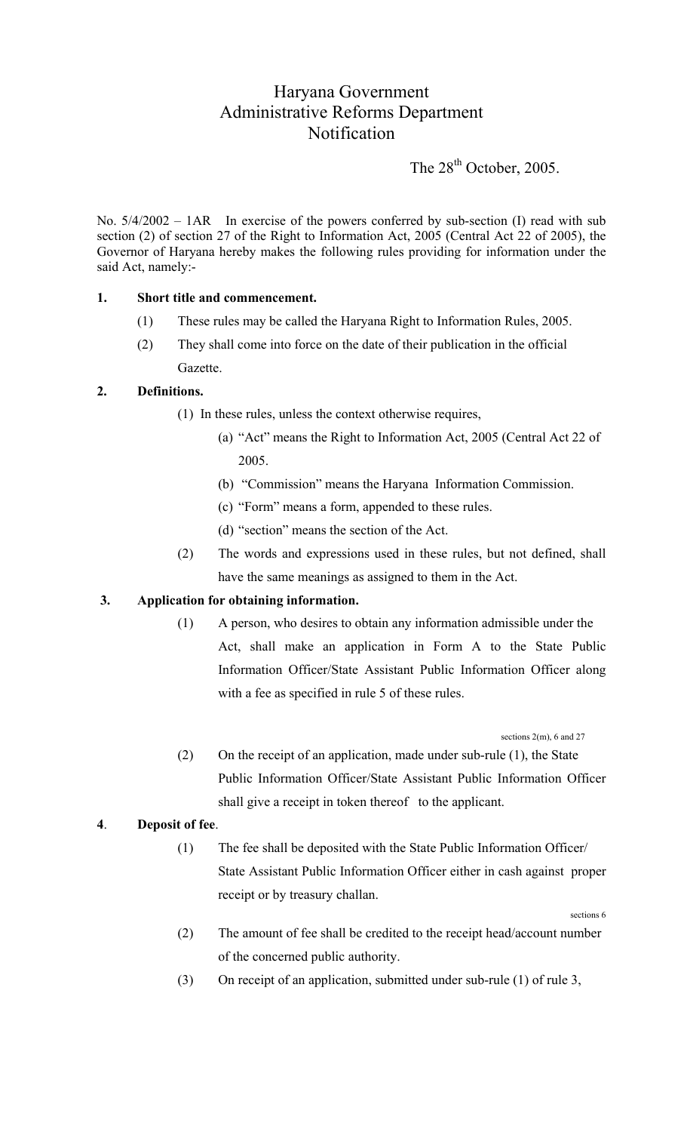# Haryana Government Administrative Reforms Department **Notification**

The  $28<sup>th</sup>$  October, 2005.

No.  $5/4/2002 - 1AR$  In exercise of the powers conferred by sub-section (I) read with sub section (2) of section 27 of the Right to Information Act, 2005 (Central Act 22 of 2005), the Governor of Haryana hereby makes the following rules providing for information under the said Act, namely:-

#### **1. Short title and commencement.**

- (1) These rules may be called the Haryana Right to Information Rules, 2005.
- (2) They shall come into force on the date of their publication in the official Gazette.

#### **2. Definitions.**

- (1) In these rules, unless the context otherwise requires,
	- (a) "Act" means the Right to Information Act, 2005 (Central Act 22 of 2005.
	- (b) "Commission" means the Haryana Information Commission.
	- (c) "Form" means a form, appended to these rules.
	- (d) "section" means the section of the Act.
- (2) The words and expressions used in these rules, but not defined, shall have the same meanings as assigned to them in the Act.

### **3. Application for obtaining information.**

(1) A person, who desires to obtain any information admissible under the Act, shall make an application in Form A to the State Public Information Officer/State Assistant Public Information Officer along with a fee as specified in rule 5 of these rules.

sections 2(m), 6 and 27

 (2) On the receipt of an application, made under sub-rule (1), the State Public Information Officer/State Assistant Public Information Officer shall give a receipt in token thereof to the applicant.

### **4**. **Deposit of fee**.

(1) The fee shall be deposited with the State Public Information Officer/ State Assistant Public Information Officer either in cash against proper receipt or by treasury challan.

sections 6

- (2) The amount of fee shall be credited to the receipt head/account number of the concerned public authority.
- (3) On receipt of an application, submitted under sub-rule (1) of rule 3,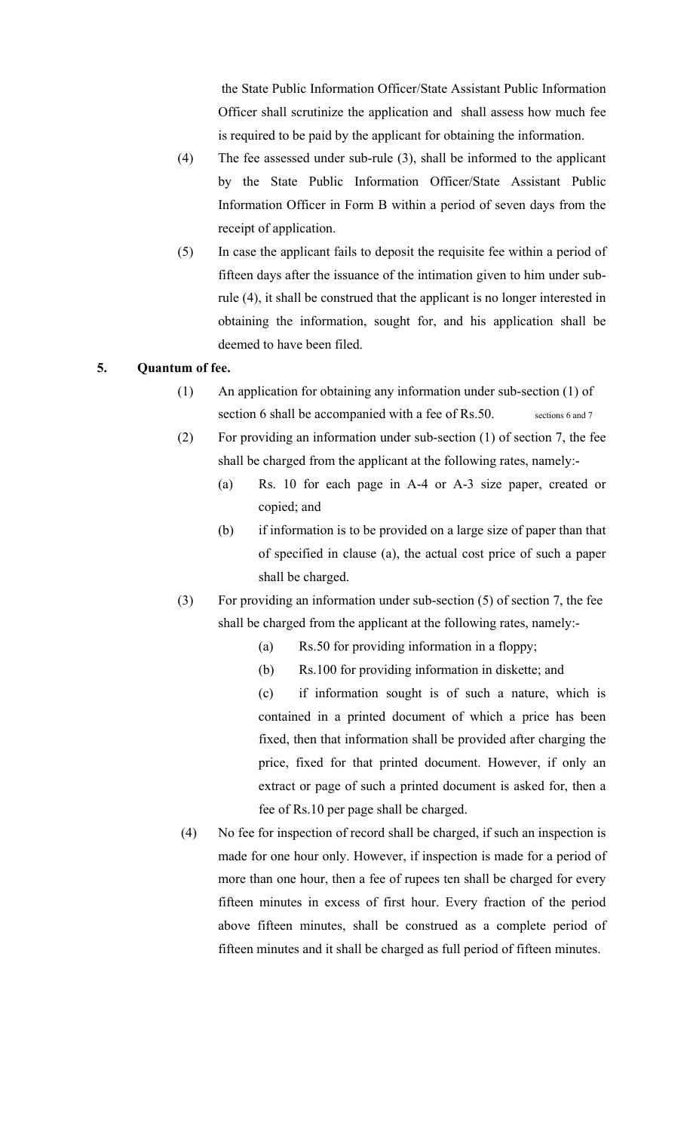the State Public Information Officer/State Assistant Public Information Officer shall scrutinize the application and shall assess how much fee is required to be paid by the applicant for obtaining the information.

- (4) The fee assessed under sub-rule (3), shall be informed to the applicant by the State Public Information Officer/State Assistant Public Information Officer in Form B within a period of seven days from the receipt of application.
- (5) In case the applicant fails to deposit the requisite fee within a period of fifteen days after the issuance of the intimation given to him under subrule (4), it shall be construed that the applicant is no longer interested in obtaining the information, sought for, and his application shall be deemed to have been filed.

### **5. Quantum of fee.**

- (1) An application for obtaining any information under sub-section (1) of section 6 shall be accompanied with a fee of Rs.50. sections 6 and 7
- (2) For providing an information under sub-section (1) of section 7, the fee shall be charged from the applicant at the following rates, namely:-
	- (a) Rs. 10 for each page in A-4 or A-3 size paper, created or copied; and
	- (b) if information is to be provided on a large size of paper than that of specified in clause (a), the actual cost price of such a paper shall be charged.
- (3) For providing an information under sub-section (5) of section 7, the fee shall be charged from the applicant at the following rates, namely:-
	- (a) Rs.50 for providing information in a floppy;
	- (b) Rs.100 for providing information in diskette; and
	- (c) if information sought is of such a nature, which is contained in a printed document of which a price has been fixed, then that information shall be provided after charging the price, fixed for that printed document. However, if only an extract or page of such a printed document is asked for, then a fee of Rs.10 per page shall be charged.
- (4) No fee for inspection of record shall be charged, if such an inspection is made for one hour only. However, if inspection is made for a period of more than one hour, then a fee of rupees ten shall be charged for every fifteen minutes in excess of first hour. Every fraction of the period above fifteen minutes, shall be construed as a complete period of fifteen minutes and it shall be charged as full period of fifteen minutes.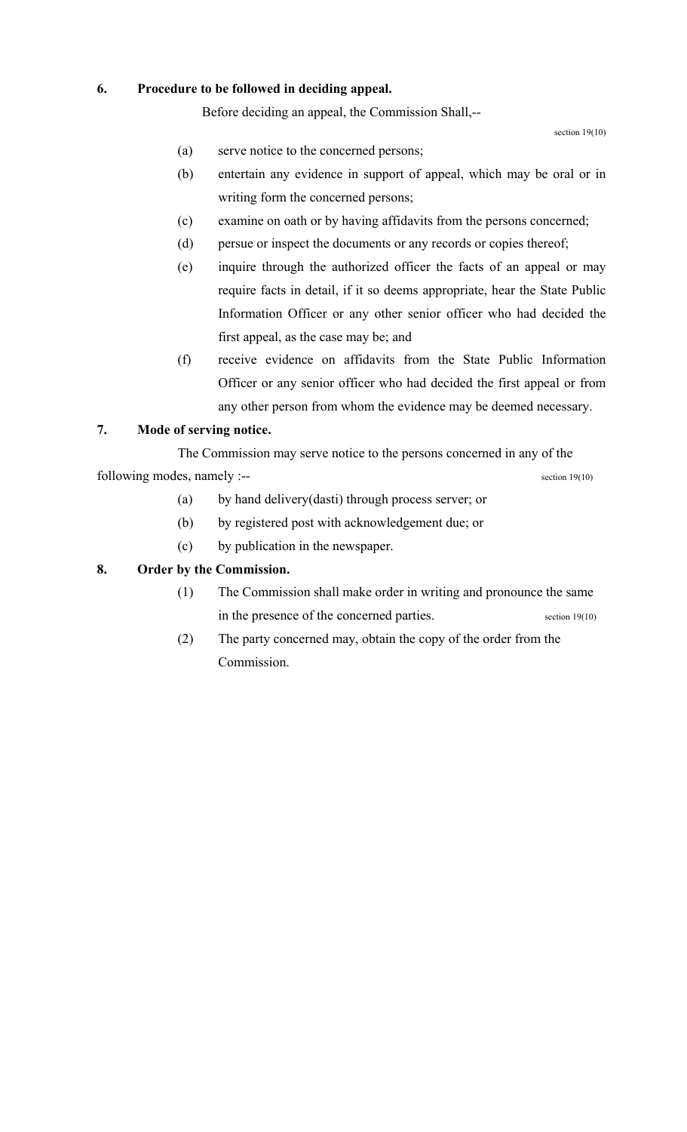### **6. Procedure to be followed in deciding appeal.**

Before deciding an appeal, the Commission Shall,--

section 19(10)

- (a) serve notice to the concerned persons;
- (b) entertain any evidence in support of appeal, which may be oral or in writing form the concerned persons;
- (c) examine on oath or by having affidavits from the persons concerned;
- (d) persue or inspect the documents or any records or copies thereof;
- (e) inquire through the authorized officer the facts of an appeal or may require facts in detail, if it so deems appropriate, hear the State Public Information Officer or any other senior officer who had decided the first appeal, as the case may be; and
- (f) receive evidence on affidavits from the State Public Information Officer or any senior officer who had decided the first appeal or from any other person from whom the evidence may be deemed necessary.

### **7. Mode of serving notice.**

The Commission may serve notice to the persons concerned in any of the

following modes, namely :--<br>section 19(10)

- (a) by hand delivery(dasti) through process server; or
- (b) by registered post with acknowledgement due; or
- (c) by publication in the newspaper.

### **8. Order by the Commission.**

- (1) The Commission shall make order in writing and pronounce the same in the presence of the concerned parties. section 19(10)
- (2) The party concerned may, obtain the copy of the order from the Commission.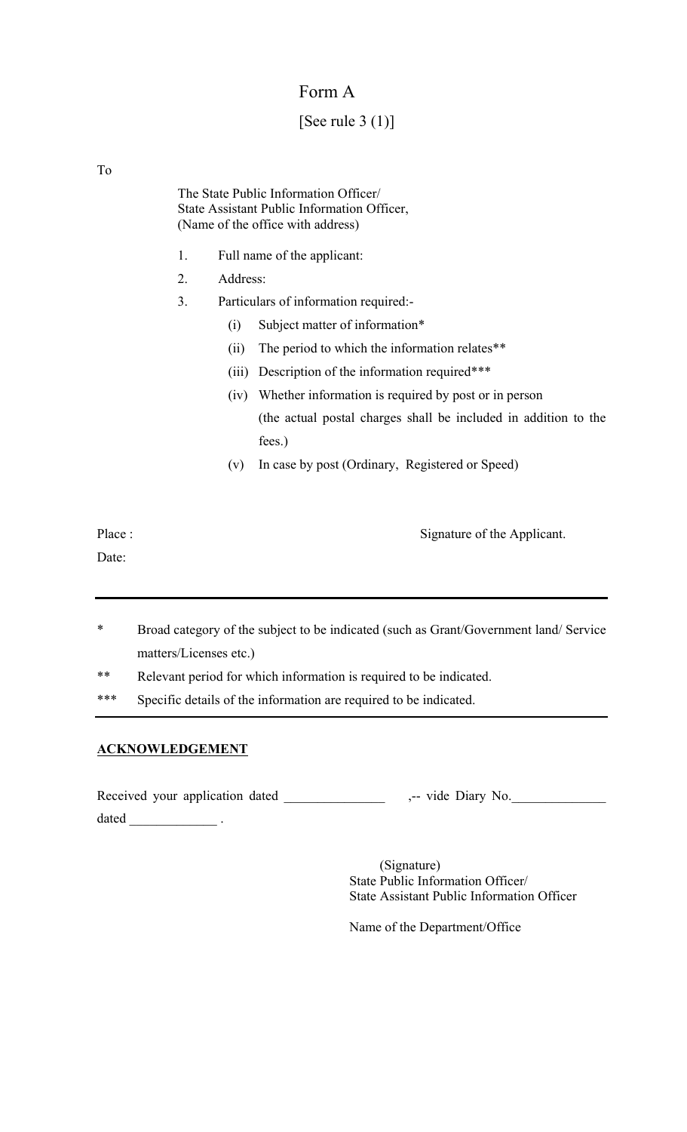### Form A

# [See rule  $3(1)$ ]

To

The State Public Information Officer/ State Assistant Public Information Officer, (Name of the office with address)

- 1. Full name of the applicant:
- 2. Address:
- 3. Particulars of information required:-
	- (i) Subject matter of information\*
	- (ii) The period to which the information relates\*\*
	- (iii) Description of the information required\*\*\*
	- (iv) Whether information is required by post or in person (the actual postal charges shall be included in addition to the fees.)
	- (v) In case by post (Ordinary, Registered or Speed)

Date:

Place : Signature of the Applicant.

- \* Broad category of the subject to be indicated (such as Grant/Government land/ Service matters/Licenses etc.)
- \*\* Relevant period for which information is required to be indicated.
- \*\*\* Specific details of the information are required to be indicated.

### **ACKNOWLEDGEMENT**

Received your application dated \_\_\_\_\_\_\_\_\_\_\_\_\_\_\_\_ ,-- vide Diary No. dated \_\_\_\_\_\_\_\_\_\_\_\_\_ .

> (Signature) State Public Information Officer/ State Assistant Public Information Officer

Name of the Department/Office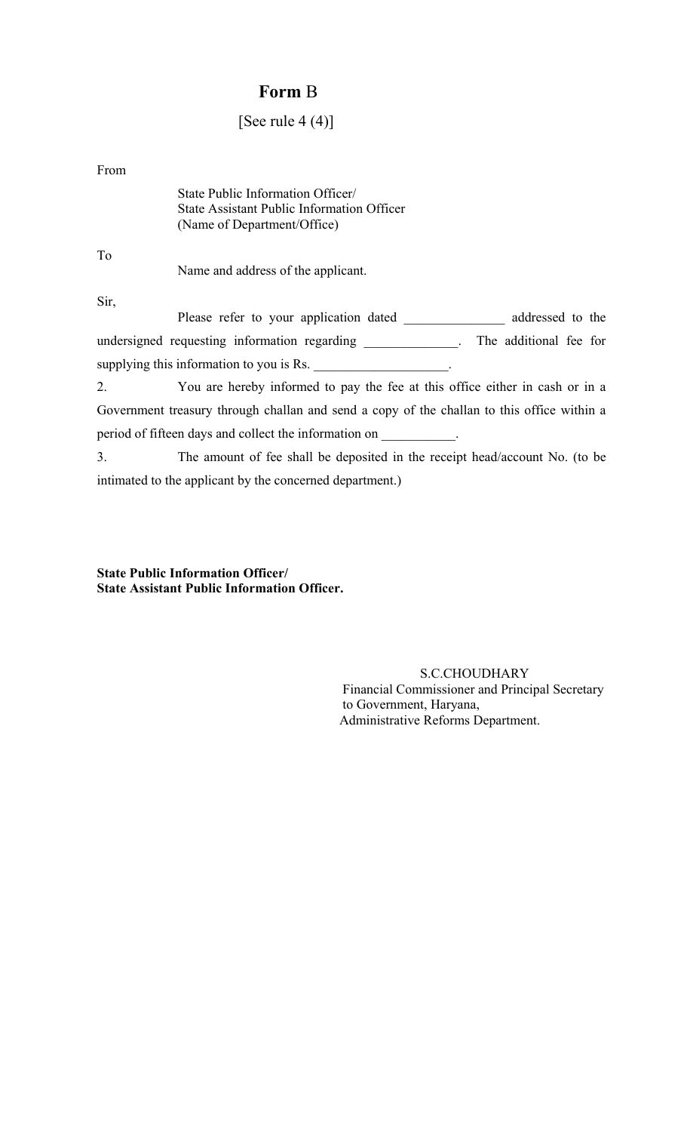### **Form** B

### [See rule  $4(4)$ ]

From

| State Public Information Officer/          |
|--------------------------------------------|
| State Assistant Public Information Officer |
| (Name of Department/Office)                |

To

Name and address of the applicant.

Sir,

Please refer to your application dated \_\_\_\_\_\_\_\_\_\_\_\_\_\_\_ addressed to the undersigned requesting information regarding \_\_\_\_\_\_\_\_\_\_\_\_\_\_. The additional fee for supplying this information to you is Rs.

2. You are hereby informed to pay the fee at this office either in cash or in a Government treasury through challan and send a copy of the challan to this office within a period of fifteen days and collect the information on \_\_\_\_\_\_\_\_\_\_\_.

3. The amount of fee shall be deposited in the receipt head/account No. (to be intimated to the applicant by the concerned department.)

**State Public Information Officer/ State Assistant Public Information Officer.** 

> S.C.CHOUDHARY Financial Commissioner and Principal Secretary to Government, Haryana, Administrative Reforms Department.